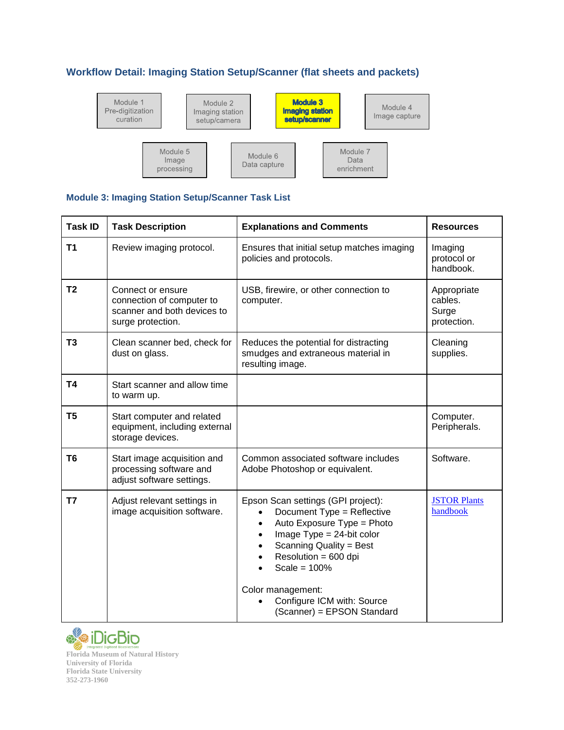## **Workflow Detail: Imaging Station Setup/Scanner (flat sheets and packets)**



## **Module 3: Imaging Station Setup/Scanner Task List**

| <b>Task ID</b> | <b>Task Description</b>                                                                            | <b>Explanations and Comments</b>                                                                                                                                                                                                                                                     | <b>Resources</b>                               |
|----------------|----------------------------------------------------------------------------------------------------|--------------------------------------------------------------------------------------------------------------------------------------------------------------------------------------------------------------------------------------------------------------------------------------|------------------------------------------------|
| T <sub>1</sub> | Review imaging protocol.                                                                           | Ensures that initial setup matches imaging<br>policies and protocols.                                                                                                                                                                                                                | Imaging<br>protocol or<br>handbook.            |
| T <sub>2</sub> | Connect or ensure<br>connection of computer to<br>scanner and both devices to<br>surge protection. | USB, firewire, or other connection to<br>computer.                                                                                                                                                                                                                                   | Appropriate<br>cables.<br>Surge<br>protection. |
| T <sub>3</sub> | Clean scanner bed, check for<br>dust on glass.                                                     | Reduces the potential for distracting<br>smudges and extraneous material in<br>resulting image.                                                                                                                                                                                      | Cleaning<br>supplies.                          |
| T <sub>4</sub> | Start scanner and allow time<br>to warm up.                                                        |                                                                                                                                                                                                                                                                                      |                                                |
| T <sub>5</sub> | Start computer and related<br>equipment, including external<br>storage devices.                    |                                                                                                                                                                                                                                                                                      | Computer.<br>Peripherals.                      |
| T6             | Start image acquisition and<br>processing software and<br>adjust software settings.                | Common associated software includes<br>Adobe Photoshop or equivalent.                                                                                                                                                                                                                | Software.                                      |
| T7             | Adjust relevant settings in<br>image acquisition software.                                         | Epson Scan settings (GPI project):<br>Document Type = Reflective<br>Auto Exposure Type = Photo<br>Image $Type = 24$ -bit color<br>Scanning Quality = Best<br>Resolution = 600 dpi<br>Scale = $100%$<br>Color management:<br>Configure ICM with: Source<br>(Scanner) = EPSON Standard | <b>JSTOR Plants</b><br>handbook                |



**Florida Museum of Natural History University of Florida Florida State University 352-273-1960**